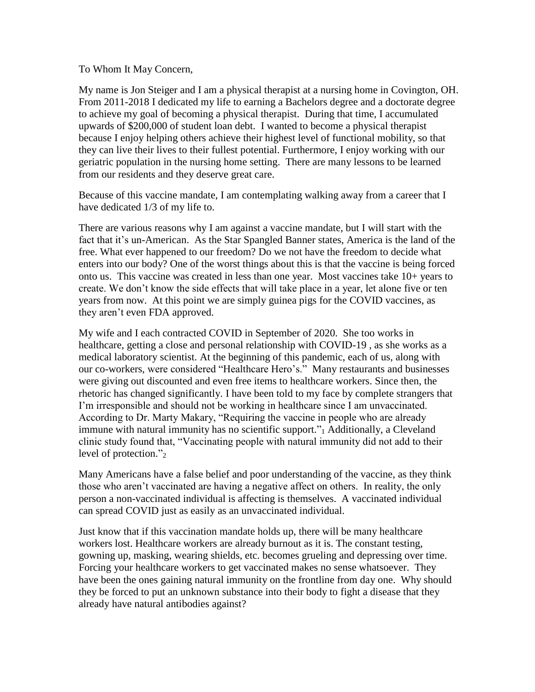To Whom It May Concern,

My name is Jon Steiger and I am a physical therapist at a nursing home in Covington, OH. From 2011-2018 I dedicated my life to earning a Bachelors degree and a doctorate degree to achieve my goal of becoming a physical therapist. During that time, I accumulated upwards of \$200,000 of student loan debt. I wanted to become a physical therapist because I enjoy helping others achieve their highest level of functional mobility, so that they can live their lives to their fullest potential. Furthermore, I enjoy working with our geriatric population in the nursing home setting. There are many lessons to be learned from our residents and they deserve great care.

Because of this vaccine mandate, I am contemplating walking away from a career that I have dedicated 1/3 of my life to.

There are various reasons why I am against a vaccine mandate, but I will start with the fact that it's un-American. As the Star Spangled Banner states, America is the land of the free. What ever happened to our freedom? Do we not have the freedom to decide what enters into our body? One of the worst things about this is that the vaccine is being forced onto us. This vaccine was created in less than one year. Most vaccines take 10+ years to create. We don't know the side effects that will take place in a year, let alone five or ten years from now. At this point we are simply guinea pigs for the COVID vaccines, as they aren't even FDA approved.

My wife and I each contracted COVID in September of 2020. She too works in healthcare, getting a close and personal relationship with COVID-19 , as she works as a medical laboratory scientist. At the beginning of this pandemic, each of us, along with our co-workers, were considered "Healthcare Hero's." Many restaurants and businesses were giving out discounted and even free items to healthcare workers. Since then, the rhetoric has changed significantly. I have been told to my face by complete strangers that I'm irresponsible and should not be working in healthcare since I am unvaccinated. According to Dr. Marty Makary, "Requiring the vaccine in people who are already immune with natural immunity has no scientific support."<sub>1</sub> Additionally, a Cleveland clinic study found that, "Vaccinating people with natural immunity did not add to their level of protection."2

Many Americans have a false belief and poor understanding of the vaccine, as they think those who aren't vaccinated are having a negative affect on others. In reality, the only person a non-vaccinated individual is affecting is themselves. A vaccinated individual can spread COVID just as easily as an unvaccinated individual.

Just know that if this vaccination mandate holds up, there will be many healthcare workers lost. Healthcare workers are already burnout as it is. The constant testing, gowning up, masking, wearing shields, etc. becomes grueling and depressing over time. Forcing your healthcare workers to get vaccinated makes no sense whatsoever. They have been the ones gaining natural immunity on the frontline from day one. Why should they be forced to put an unknown substance into their body to fight a disease that they already have natural antibodies against?